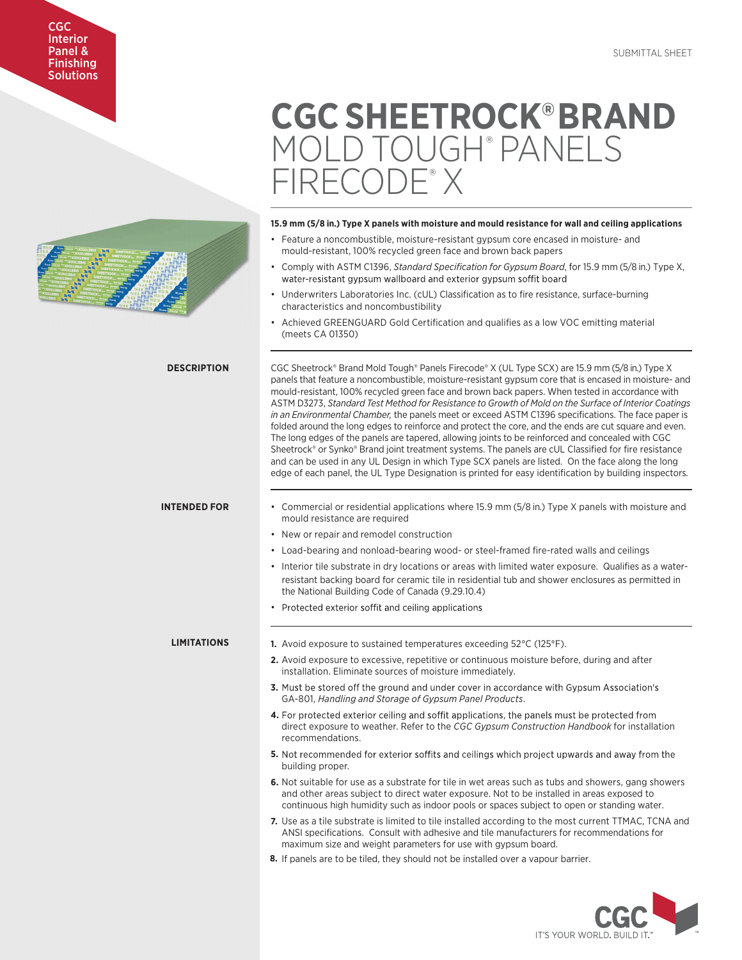## CGC Interior Panel & Finishing **Solutions**

# **CGC SHEETROCK®BRAND**  MOLD TOUGH® PANELS ?ECUDE®

## **15.9 mm (5/8 in.) Type X panels with moisture and mould resistance for wall and ceiling applications**

- Feature a noncombustible, moisture-resistant gypsum core encased in moisture- and mould-resistant, 100% recycled green face and brown back papers
- Comply with ASTM C1396, *Standard Specification for Gypsum Board*, for 15.9 mm (5/8 in.) Type X, water-resistant gypsum wallboard and exterior gypsum soffit board
- Underwriters Laboratories Inc. (cUL) Classification as to fire resistance, surface-burning characteristics and noncombustibility
- Achieved GREENGUARD Gold Certification and qualifies as a low VOC emitting material (meets CA 01350)

CGC Sheetrock® Brand Mold Tough® Panels Firecode® X (UL Type SCX) are 15.9 mm (5/8 in.) Type X panels that feature a noncombustible, moisture-resistant gypsum core that is encased in moisture- and mould-resistant, 100% recycled green face and brown back papers. When tested in accordance with ASTM D3273, *Standard Test Method for Resistance to Growth of Mold on the Surface of Interior Coatings in an Environmental Chamber,* the panels meet or exceed ASTM C1396 specifications. The face paper is folded around the long edges to reinforce and protect the core, and the ends are cut square and even. The long edges of the panels are tapered, allowing joints to be reinforced and concealed with CGC Sheetrock® or Synko® Brand joint treatment systems. The panels are cUL Classified for fire resistance and can be used in any UL Design in which Type SCX panels are listed. On the face along the long edge of each panel, the UL Type Designation is printed for easy identification by building inspectors.

## **INTENDED FOR**

**DESCRIPTION**

- Commercial or residential applications where 15.9 mm (5/8 in.) Type X panels with moisture and mould resistance are required
- New or repair and remodel construction
- Load-bearing and nonload-bearing wood- or steel-framed fire-rated walls and ceilings
- Interior tile substrate in dry locations or areas with limited water exposure. Qualifies as a water resistant backing board for ceramic tile in residential tub and shower enclosures as permitted in the National Building Code of Canada (9.29.10.4)
- Protected exterior soffit and ceiling applications

## **LIMITATIONS**

- **1.** Avoid exposure to sustained temperatures exceeding 52°C (125°F).
- **2.** Avoid exposure to excessive, repetitive or continuous moisture before, during and after installation. Eliminate sources of moisture immediately.
- **3.** Must be stored off the ground and under cover in accordance with Gypsum Association's GA-801, *Handling and Storage of Gypsum Panel Products*.
- 4. For protected exterior ceiling and soffit applications, the panels must be protected from direct exposure to weather. Refer to the *CGC Gypsum Construction Handbook* for installation recommendations.
- **5.** Not recommended for exterior soffits and ceilings which project upwards and away from the building proper.
- **6.** Not suitable for use as a substrate for tile in wet areas such as tubs and showers, gang showers and other areas subject to direct water exposure. Not to be installed in areas exposed to continuous high humidity such as indoor pools or spaces subject to open or standing water.
- **7.** Use as a tile substrate is limited to tile installed according to the most current TTMAC, TCNA and ANSI specifications. Consult with adhesive and tile manufacturers for recommendations for maximum size and weight parameters for use with gypsum board.
- **8.** If panels are to be tiled, they should not be installed over a vapour barrier.

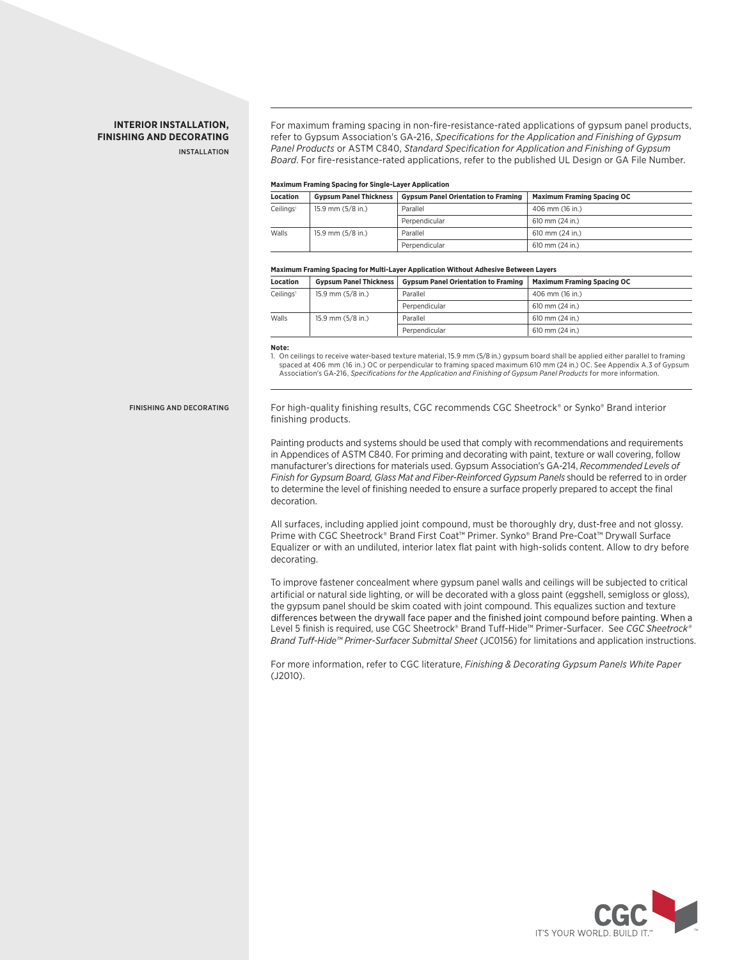# **INTERIOR INSTALLATION, FINISHING AND DECORATING**

INSTALLATION

For maximum framing spacing in non-fire-resistance-rated applications of gypsum panel products, refer to Gypsum Association's GA-216, *Specifications for the Application and Finishing of Gypsum Panel Products* or ASTM C840, *Standard Specification for Application and Finishing of Gypsum Board*. For fire-resistance-rated applications, refer to the published UL Design or GA File Number.

## **Maximum Framing Spacing for Single-Layer Application**

| <b>Location</b>       | <b>Gypsum Panel Thickness</b> | <b>Gypsum Panel Orientation to Framing</b> | <b>Maximum Framing Spacing OC</b> |
|-----------------------|-------------------------------|--------------------------------------------|-----------------------------------|
| Ceilings <sup>1</sup> | 15.9 mm (5/8 in.)             | Parallel                                   | 406 mm (16 in.)                   |
|                       |                               | Perpendicular                              | 610 mm (24 in.)                   |
| Walls                 | 15.9 mm (5/8 in.)             | Parallel                                   | 610 mm (24 in.)                   |
|                       |                               | Perpendicular                              | 610 mm (24 in.)                   |

## **Maximum Framing Spacing for Multi-Layer Application Without Adhesive Between Layers**

| Location              | <b>Gypsum Panel Thickness</b> | <b>Gypsum Panel Orientation to Framing</b> | <b>Maximum Framing Spacing OC</b> |
|-----------------------|-------------------------------|--------------------------------------------|-----------------------------------|
| Ceilings <sup>1</sup> | 15.9 mm (5/8 in.)             | Parallel                                   | 406 mm (16 in.)                   |
|                       |                               | Perpendicular                              | 610 mm (24 in.)                   |
| Walls                 | $15.9$ mm $(5/8$ in.)         | Parallel                                   | 610 mm (24 in.)                   |
|                       |                               | Perpendicular                              | 610 mm (24 in.)                   |

**Note:**

1. On ceilings to receive water-based texture material, 15.9 mm (5/8 in.) gypsum board shall be applied either parallel to framing spaced at 406 mm (16 in.) OC or perpendicular to framing spaced maximum 610 mm (24 in.) OC. See Appendix A.3 of Gypsum Association's GA-216, *Specifications for the Application and Finishing of Gypsum Panel Products* for more information.

## FINISHING AND DECORATING

For high-quality finishing results, CGC recommends CGC Sheetrock® or Synko® Brand interior finishing products.

Painting products and systems should be used that comply with recommendations and requirements in Appendices of ASTM C840. For priming and decorating with paint, texture or wall covering, follow manufacturer's directions for materials used. Gypsum Association's GA-214, *Recommended Levels of Finish for Gypsum Board, Glass Mat and Fiber-Reinforced Gypsum Panels* should be referred to in order to determine the level of finishing needed to ensure a surface properly prepared to accept the final decoration.

All surfaces, including applied joint compound, must be thoroughly dry, dust-free and not glossy. Prime with CGC Sheetrock® Brand First Coat™ Primer. Synko® Brand Pre-Coat™ Drywall Surface Equalizer or with an undiluted, interior latex flat paint with high-solids content. Allow to dry before decorating.

To improve fastener concealment where gypsum panel walls and ceilings will be subjected to critical artificial or natural side lighting, or will be decorated with a gloss paint (eggshell, semigloss or gloss), the gypsum panel should be skim coated with joint compound. This equalizes suction and texture differences between the drywall face paper and the finished joint compound before painting. When a Level 5 finish is required, use CGC Sheetrock® Brand Tuff-Hide™ Primer-Surfacer. See *CGC Sheetrock® Brand Tuff-Hide™ Primer-Surfacer Submittal Sheet* (JC0156) for limitations and application instructions.

For more information, refer to CGC literature, *Finishing & Decorating Gypsum Panels White Paper* (J2010).